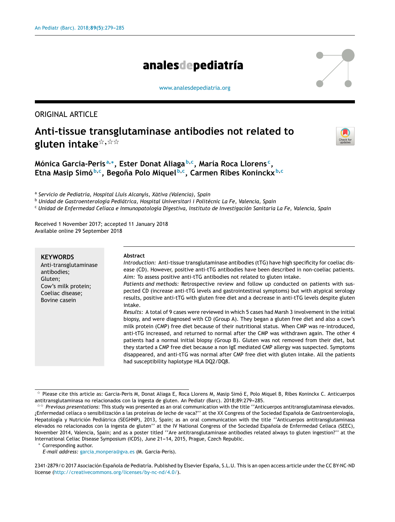# analesdepediatría

[www.analesdepediatria.org](http://www.analesdepediatria.org)

ORIGINAL ARTICLE

# **Anti-tissue transglutaminase antibodies not related to**  $\mathsf{gluten}\ \mathsf{intake}^{\scriptscriptstyle \not\sim,\,\not\sim\,\vec{\scriptscriptstyle \times}}$



**Mónica Garcia-Peris <sup>a</sup>**,<sup>∗</sup> **, Ester Donat Aliaga <sup>b</sup>**,**<sup>c</sup> , María Roca Llorens <sup>c</sup> , Etna Masip Simó <sup>b</sup>**,**<sup>c</sup> , Begona˜ Polo Miquel <sup>b</sup>**,**<sup>c</sup> , Carmen Ribes Koninckx <sup>b</sup>**,**<sup>c</sup>**

a *Servicio de Pediatría, Hospital Lluís Alcanyís, Xàtiva (Valencia), Spain*

<sup>b</sup> *Unidad de Gastroenterología Pediátrica, Hospital Universitari i Politécnic La Fe, Valencia, Spain*

<sup>c</sup> *Unidad de Enfermedad Celíaca e Inmunopatología Digestiva, Instituto de Investigación Sanitaria La Fe, Valencia, Spain*

Received 1 November 2017; accepted 11 January 2018 Available online 29 September 2018

### **KEYWORDS**

Anti-transglutaminase antibodies; Gluten; Cow's milk protein; Coeliac disease; Bovine casein

#### **Abstract**

*Introduction:* Anti-tissue transglutaminase antibodies (tTG) have high specificity for coeliac disease (CD). However, positive anti-tTG antibodies have been described in non-coeliac patients. *Aim:* To assess positive anti-tTG antibodies not related to gluten intake.

*Patients and methods:* Retrospective review and follow up conducted on patients with suspected CD (increase anti-tTG levels and gastrointestinal symptoms) but with atypical serology results, positive anti-tTG with gluten free diet and a decrease in anti-tTG levels despite gluten intake.

*Results:* A total of 9 cases were reviewed in which 5 cases had Marsh 3 involvement in the initial biopsy, and were diagnosed with CD (Group A). They began a gluten free diet and also a cow's milk protein (CMP) free diet because of their nutritional status. When CMP was re-introduced, anti-tTG increased, and returned to normal after the CMP was withdrawn again. The other 4 patients had a normal initial biopsy (Group B). Gluten was not removed from their diet, but they started a CMP free diet because a non IgE mediated CMP allergy was suspected. Symptoms disappeared, and anti-tTG was normal after CMP free diet with gluten intake. All the patients had susceptibility haplotype HLA DQ2/DQ8.

Corresponding author.

*E-mail address:* garcia [monpera@gva.es](mailto:garcia_monpera@gva.es) (M. Garcia-Peris).

2341-2879/© 2017 Asociación Española de Pediatría. Published by Elsevier España, S.L.U. This is an open access article under the CC BY-NC-ND license (<http://creativecommons.org/licenses/by-nc-nd/4.0/>).

 $^\star$  Please cite this article as: Garcia-Peris M, Donat Aliaga E, Roca Llorens M, Masip Simó E, Polo Miquel B, Ribes Koninckx C. Anticuerpos antitransglutaminasa no relacionados con la ingesta de gluten. An Pediatr (Barc). 2018;89:279-285.

<sup>-</sup>- *Previous presentations*: This study was presented as an oral communication with the title ''Anticuerpos antitransglutaminasa elevados. ¿Enfermedad celíaca o sensibilización a las proteínas de leche de vaca?'' at the XX Congress of the Sociedad Española de Gastroenterología, Hepatología y Nutrición Pediátrica (SEGHNP), 2013, Spain; as an oral communication with the title ''Anticuerpos antitransglutaminasa elevados no relacionados con la ingesta de gluten'' at the IV National Congress of the Sociedad Española de Enfermedad Celíaca (SEEC), November 2014, Valencia, Spain; and as a poster titled ''Are antitransglutaminase antibodies related always to gluten ingestion?'' at the International Celiac Disease Symposium (ICDS), June 21-14, 2015, Prague, Czech Republic.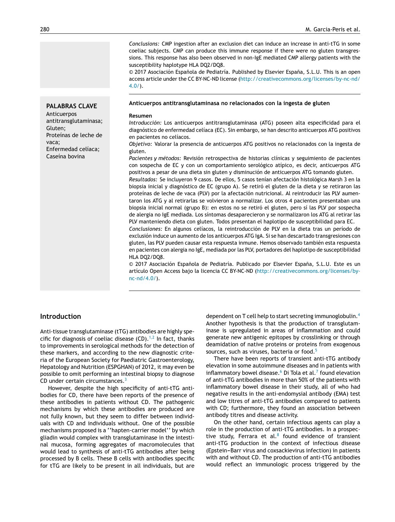*Conclusions:* CMP ingestion after an exclusion diet can induce an increase in anti-tTG in some coeliac subjects. CMP can produce this immune response if there were no gluten transgressions. This response has also been observed in non-IgE mediated CMP allergy patients with the susceptibility haplotype HLA DQ2/DQ8.

© 2017 Asociación Española de Pediatría. Published by Elsevier España, S.L.U. This is an open access article under the CC BY-NC-ND license [\(http://creativecommons.org/licenses/by-nc-nd/](http://creativecommons.org/licenses/by-nc-nd/4.0/) [4.0/\)](http://creativecommons.org/licenses/by-nc-nd/4.0/).

#### **PALABRAS CLAVE**

Anticuerpos antitransglutaminasa; Gluten; Proteínas de leche de vaca; Enfermedad celíaca; Caseína bovina

#### **Anticuerpos antitransglutaminasa no relacionados con la ingesta de gluten**

#### **Resumen**

*Introducción:* Los anticuerpos antitransglutaminasa (ATG) poseen alta especificidad para el diagnóstico de enfermedad celíaca (EC). Sin embargo, se han descrito anticuerpos ATG positivos en pacientes no celíacos.

*Objetivo:* Valorar la presencia de anticuerpos ATG positivos no relacionados con la ingesta de gluten.

*Pacientes y métodos:* Revisión retrospectiva de historias clínicas y seguimiento de pacientes con sospecha de EC y con un comportamiento serológico atípico, es decir, anticuerpos ATG positivos a pesar de una dieta sin gluten y disminución de anticuerpos ATG tomando gluten.

*Resultados:* Se incluyeron 9 casos. De ellos, 5 casos tenían afectación histológica Marsh 3 en la biopsia inicial y diagnóstico de EC (grupo A). Se retiró el gluten de la dieta y se retiraron las proteínas de leche de vaca (PLV) por la afectación nutricional. Al reintroducir las PLV aumentaron los ATG y al retirarlas se volvieron a normalizar. Los otros 4 pacientes presentaban una biopsia inicial normal (grupo B): en estos no se retiró el gluten, pero sí las PLV por sospecha de alergia no IgE mediada. Los síntomas desaparecieron y se normalizaron los ATG al retirar las PLV manteniendo dieta con gluten. Todos presentan el haplotipo de susceptibilidad para EC.

*Conclusiones:* En algunos celíacos, la reintroducción de PLV en la dieta tras un período de exclusión induce un aumento de los anticuerpos ATG IgA. Si se han descartado transgresiones con gluten, las PLV pueden causar esta respuesta inmune. Hemos observado también esta respuesta en pacientes con alergia no IgE, mediada por las PLV, portadores del haplotipo de susceptibilidad HLA DQ2/DQ8.

© 2017 Asociación Española de Pediatría. Publicado por Elsevier España, S.L.U. Este es un artículo Open Access bajo la licencia CC BY-NC-ND ([http://creativecommons.org/licenses/by](http://creativecommons.org/licenses/by-nc-nd/4.0/)[nc-nd/4.0/\)](http://creativecommons.org/licenses/by-nc-nd/4.0/).

## **Introduction**

Anti-tissue transglutaminase (tTG) antibodies are highly specific for diagnosis of coeliac disease  $(CD)$ .<sup>[1,2](#page-5-0)</sup> In fact, thanks to improvements in serological methods for the detection of these markers, and according to the new diagnostic criteria of the European Society for Paediatric Gastroenterology, Hepatology and Nutrition (ESPGHAN) of 2012, it may even be possible to omit performing an intestinal biopsy to diagnose CD under certain circumstances.[3](#page-5-0)

However, despite the high specificity of anti-tTG antibodies for CD, there have been reports of the presence of these antibodies in patients without CD. The pathogenic mechanisms by which these antibodies are produced are not fully known, but they seem to differ between individuals with CD and individuals without. One of the possible mechanisms proposed is a ''hapten-carrier model'' by which gliadin would complex with transglutaminase in the intestinal mucosa, forming aggregates of macromolecules that would lead to synthesis of anti-tTG antibodies after being processed by B cells. These B cells with antibodies specific for tTG are likely to be present in all individuals, but are dependent on T cell help to start secreting immunoglobulin.<sup>[4](#page-5-0)</sup> Another hypothesis is that the production of transglutaminase is upregulated in areas of inflammation and could generate new antigenic epitopes by crosslinking or through deamidation of native proteins or proteins from exogenous sources, such as viruses, bacteria or food.<sup>[5](#page-5-0)</sup>

There have been reports of transient anti-tTG antibody elevation in some autoimmune diseases and in patients with in[f](#page-5-0)lammatory bowel disease. $^6$  $^6$  Di Tola et al.<sup>7</sup> found elevation of anti-tTG antibodies in more than 50% of the patients with inflammatory bowel disease in their study, all of who had negative results in the anti-endomysial antibody (EMA) test and low titres of anti-tTG antibodies compared to patients with CD; furthermore, they found an association between antibody titres and disease activity.

On the other hand, certain infectious agents can play a role in the production of anti-tTG antibodies. In a prospective study, Ferrara et al. $8$  found evidence of transient anti-tTG production in the context of infectious disease (Epstein-Barr virus and coxsackievirus infection) in patients with and without CD. The production of anti-tTG antibodies would reflect an immunologic process triggered by the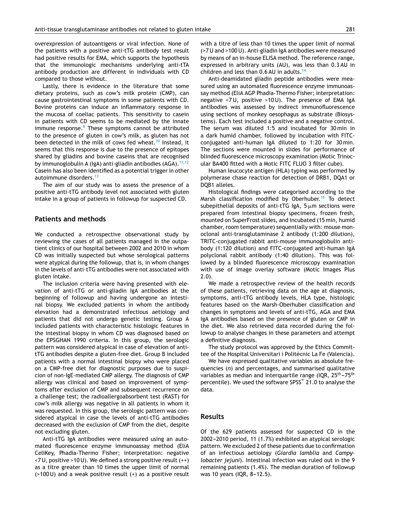overexpression of autoantigens or viral infection. None of the patients with a positive anti-tTG antibody test result had positive results for EMA, which supports the hypothesis that the immunologic mechanisms underlying anti-tTA antibody production are different in individuals with CD compared to those without.

Lastly, there is evidence in the literature that some dietary proteins, such as cow's milk protein (CMP), can cause gastrointestinal symptoms in some patients with CD. Bovine proteins can induce an inflammatory response in the mucosa of coeliac patients. This sensitivity to casein in patients with CD seems to be mediated by the innate immune response.<sup>[9](#page-6-0)</sup> These symptoms cannot be attributed to the presence of gluten in cow's milk, as gluten has not been detected in the milk of cows fed wheat.<sup>[10](#page-6-0)</sup> Instead, it seems that this response is due to the presence of epitopes shared by gliadins and bovine caseins that are recognised by immunoglobulin A (IgA) anti-gliadin antibodies (AGA).  $11,12$ Casein has also been identified as a potential trigger in other autoimmune disorders.<sup>[13](#page-6-0)</sup>

The aim of our study was to assess the presence of a positive anti-tTG antibody level not associated with gluten intake in a group of patients in followup for suspected CD.

## **Patients and methods**

We conducted a retrospective observational study by reviewing the cases of all patients managed in the outpatient clinics of our hospital between 2002 and 2010 in whom CD was initially suspected but whose serological patterns were atypical during the followup, that is, in whom changes in the levels of anti-tTG antibodies were not associated with gluten intake.

The inclusion criteria were having presented with elevation of anti-tTG or anti-gliadin IgA antibodies at the beginning of followup and having undergone an intestinal biopsy. We excluded patients in whom the antibody elevation had a demonstrated infectious aetiology and patients that did not undergo genetic testing. Group A included patients with characteristic histologic features in the intestinal biopsy in whom CD was diagnosed based on the EPSGHAN 1990 criteria. In this group, the serologic pattern was considered atypical in case of elevation of antitTG antibodies despite a gluten-free diet. Group B included patients with a normal intestinal biopsy who were placed on a CMP-free diet for diagnostic purposes due to suspicion of non-IgE-mediated CMP allergy. The diagnosis of CMP allergy was clinical and based on improvement of symptoms after exclusion of CMP and subsequent recurrence on a challenge test; the radioallergoabsorbent test (RAST) for cow's milk allergy was negative in all patients in whom it was requested. In this group, the serologic pattern was considered atypical in case the levels of anti-tTG antibodies decreased with the exclusion of CMP from the diet, despite not excluding gluten.

Anti-tTG IgA antibodies were measured using an automated fluorescence enzyme immunoassay method (EliA CeliKey, Phadia-Thermo Fisher; interpretation: negative  $\le$ 7 U, positive >10 U). We defined a strong positive result  $(++)$ as a titre greater than 10 times the upper limit of normal (>100 U) and a weak positive result (+) as a positive result with a titre of less than 10 times the upper limit of normal (>7 U and >100 U). Anti-gliadin IgA antibodies were measured by means of an in-house ELISA method. The reference range, expressed in arbitrary units (AU), was less than 0.3 AU in children and less than  $0.6$  AU in adults.<sup>[14](#page-6-0)</sup>

Anti-deamidated gliadin peptide antibodies were measured using an automated fluorescence enzyme immunoassay method (EliA AGP Phadia-Thermo Fisher; interpretation: negative <7 U, positive >10 U). The presence of EMA IgA antibodies was assessed by indirect immunofluorescence using sections of monkey oesophagus as substrate (Biosystems). Each test included a positive and a negative control. The serum was diluted 1:5 and incubated for 30 min in a dark humid chamber, followed by incubation with FITCconjugated anti-human IgA diluted to 1:20 for 30 min. The sections were mounted in slides for performance of blinded fluorescence microscopy examination (Motic Trinocular BA400 fitted with a Motic FITC FLUO 3 filter cube).

Human leucocyte antigen (HLA) typing was performed by polymerase chase reaction for detection of DRB1, DQA1 or DQB1 alleles.

Histological findings were categorised according to the Marsh classification modified by Oberhuber.<sup>[15](#page-6-0)</sup> To detect subepithelial deposits of anti-tTG IgA,  $5\,\mu$ m sections were prepared from intestinal biopsy specimens, frozen fresh, mounted on SuperFrost slides, and incubated (15 min, humid chamber, room temperature) sequentially with: mouse monoclonal anti-transglutaminase 2 antibody (1:200 dilution), TRITC-conjugated rabbit anti-mouse immunoglobulin antibody (1:120 dilution) and FITC-conjugated anti-human IgA polyclonal rabbit antibody (1:40 dilution). This was followed by a blinded fluorescence microscopy examination with use of image overlay software (Motic Images Plus 2.0).

We made a retrospective review of the health records of these patients, retrieving data on the age at diagnosis, symptoms, anti-tTG antibody levels, HLA type, histologic features based on the Marsh-Oberhuber classification and changes in symptoms and levels of anti-tTG, AGA and EMA IgA antibodies based on the presence of gluten or CMP in the diet. We also retrieved data recorded during the followup to analyse changes in these parameters and attempt a definitive diagnosis.

The study protocol was approved by the Ethics Committee of the Hospital Universitari i Politècnic La Fe (Valencia).

We have expressed qualitative variables as absolute frequencies (*n*) and percentages, and summarised qualitative variables as median and interquartile range (IQR,  $25<sup>th</sup>-75<sup>th</sup>$ percentile). We used the software SPSS® 21.0 to analyse the data.

## **Results**

Of the 629 patients assessed for suspected CD in the  $2002-2010$  period, 11 (1.7%) exhibited an atypical serologic pattern. We excluded 2 of these patients due to confirmation of an infectious aetiology (*Giardia lamblia* and *Campylobacter jejuni*). Intestinal infection was ruled out in the 9 remaining patients (1.4%). The median duration of followup was 10 years (IQR, 8-12.5).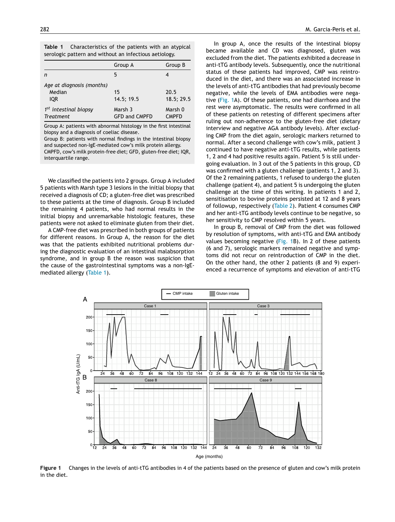| <b>Table 1</b> Characteristics of the patients with an atypical |
|-----------------------------------------------------------------|
| serologic pattern and without an infectious aetiology.          |

|                                                       | Group A                         | Group B                 |
|-------------------------------------------------------|---------------------------------|-------------------------|
| n                                                     | 5                               | 4                       |
| Age at diagnosis (months)<br>Median<br><b>IOR</b>     | 15<br>14.5; 19.5                | 20.5<br>18.5; 29.5      |
| 1 <sup>st</sup> intestinal biopsy<br><b>Treatment</b> | Marsh 3<br><b>GFD and CMPFD</b> | Marsh 0<br><b>CMPFD</b> |

Group A: patients with abnormal histology in the first intestinal biopsy and a diagnosis of coeliac disease.

Group B: patients with normal findings in the intestinal biopsy and suspected non-IgE-mediated cow's milk protein allergy. CMPFD, cow's milk protein-free diet; GFD, gluten-free diet; IQR, interquartile range.

We classified the patients into 2 groups. Group A included 5 patients with Marsh type 3 lesions in the initial biopsy that received a diagnosis of CD; a gluten-free diet was prescribed to these patients at the time of diagnosis. Group B included the remaining 4 patients, who had normal results in the initial biopsy and unremarkable histologic features, these patients were not asked to eliminate gluten from their diet.

A CMP-free diet was prescribed in both groups of patients for different reasons. In Group A, the reason for the diet was that the patients exhibited nutritional problems during the diagnostic evaluation of an intestinal malabsorption syndrome, and in group B the reason was suspicion that the cause of the gastrointestinal symptoms was a non-IgEmediated allergy (Table 1).

In group A, once the results of the intestinal biopsy became available and CD was diagnosed, gluten was excluded from the diet. The patients exhibited a decrease in anti-tTG antibody levels. Subsequently, once the nutritional status of these patients had improved, CMP was reintroduced in the diet, and there was an associated increase in the levels of anti-tTG antibodies that had previously become negative, while the levels of EMA antibodies were negative (Fig. 1A). Of these patients, one had diarrhoea and the rest were asymptomatic. The results were confirmed in all of these patients on retesting of different specimens after ruling out non-adherence to the gluten-free diet (dietary interview and negative AGA antibody levels). After excluding CMP from the diet again, serologic markers returned to normal. After a second challenge with cow's milk, patient 3 continued to have negative anti-tTG results, while patients 1, 2 and 4 had positive results again. Patient 5 is still undergoing evaluation. In 3 out of the 5 patients in this group, CD was confirmed with a gluten challenge (patients 1, 2 and 3). Of the 2 remaining patients, 1 refused to undergo the gluten challenge (patient 4), and patient 5 is undergoing the gluten challenge at the time of this writing. In patients 1 and 2, sensitisation to bovine proteins persisted at 12 and 8 years of followup, respectively ([Table](#page-4-0) 2). Patient 4 consumes CMP and her anti-tTG antibody levels continue to be negative, so her sensitivity to CMP resolved within 5 years.

In group B, removal of CMP from the diet was followed by resolution of symptoms, with anti-tTG and EMA antibody values becoming negative ( $Fig. 1B$ ). In 2 of these patients (6 and 7), serologic markers remained negative and symptoms did not recur on reintroduction of CMP in the diet. On the other hand, the other 2 patients (8 and 9) experienced a recurrence of symptoms and elevation of anti-tTG



**Figure 1** Changes in the levels of anti-tTG antibodies in 4 of the patients based on the presence of gluten and cow's milk protein in the diet.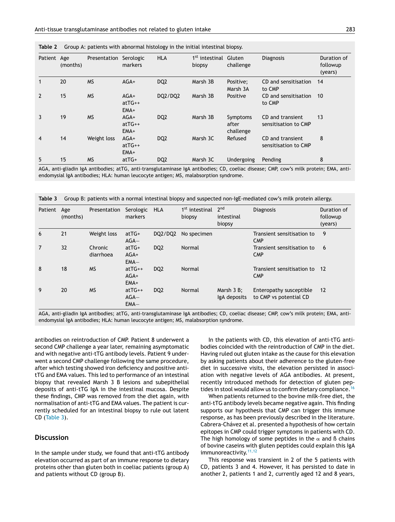| I<br>I<br>$\sim$<br>$\sim$ |
|----------------------------|
|                            |

<span id="page-4-0"></span>**Table 2** Group A: patients with abnormal histology in the initial intestinal biopsy.

| Patient Age    | (months) | Presentation | Serologic<br>markers       | <b>HLA</b>      | 1 <sup>st</sup> intestinal Gluten<br>biopsy | challenge                      | <b>Diagnosis</b>                         | Duration of<br>followup<br>(years) |
|----------------|----------|--------------|----------------------------|-----------------|---------------------------------------------|--------------------------------|------------------------------------------|------------------------------------|
| $\mathbf{1}$   | 20       | <b>MS</b>    | $AGA+$                     | DQ <sub>2</sub> | Marsh 3B                                    | Positive;<br>Marsh 3A          | CD and sensitisation<br>to CMP           | 14                                 |
| $\overline{2}$ | 15       | <b>MS</b>    | $AGA+$<br>$atTG++$<br>EMA+ | DQ2/DQ2         | Marsh 3B                                    | Positive                       | CD and sensitisation<br>to CMP           | 10                                 |
| 3              | 19       | <b>MS</b>    | $AGA+$<br>$atTG++$<br>EMA+ | DQ <sub>2</sub> | Marsh 3B                                    | Symptoms<br>after<br>challenge | CD and transient<br>sensitisation to CMP | 13                                 |
| $\overline{4}$ | 14       | Weight loss  | $AGA+$<br>$atTG++$<br>EMA+ | DQ <sub>2</sub> | Marsh 3C                                    | Refused                        | CD and transient<br>sensitisation to CMP | 8                                  |
| 5              | 15       | <b>MS</b>    | $atTG+$                    | DQ <sub>2</sub> | Marsh 3C                                    | Undergoing                     | Pending                                  | 8                                  |

AGA, anti-gliadin IgA antibodies; atTG, anti-transglutaminase IgA antibodies; CD, coeliac disease; CMP, cow's milk protein; EMA, antiendomysial IgA antibodies; HLA: human leucocyte antigen; MS, malabsorption syndrome.

**Table 3** Group B: patients with a normal intestinal biopsy and suspected non-IgE-mediated cow's milk protein allergy.

| Patient        | Age<br>(months) | Presentation         | Serologic<br>markers           | <b>HLA</b>      | 1 <sup>st</sup> intestinal<br>biopsy | 2 <sub>nd</sub><br>intestinal<br>biopsy | <b>Diagnosis</b>                                  | Duration of<br>followup<br>(years) |
|----------------|-----------------|----------------------|--------------------------------|-----------------|--------------------------------------|-----------------------------------------|---------------------------------------------------|------------------------------------|
| 6              | 21              | Weight loss          | atTG+<br>$AGA -$               | DQ2/DQ2         | No specimen                          |                                         | Transient sensitisation to<br><b>CMP</b>          | 9                                  |
| $\overline{7}$ | 32              | Chronic<br>diarrhoea | $atTG+$<br>$AGA+$<br>$EMA-$    | DQ <sub>2</sub> | Normal                               |                                         | Transient sensitisation to<br><b>CMP</b>          | 6                                  |
| 8              | 18              | <b>MS</b>            | $atTG++$<br>$AGA+$<br>EMA+     | DQ <sub>2</sub> | Normal                               |                                         | Transient sensitisation to 12<br><b>CMP</b>       |                                    |
| 9              | 20              | <b>MS</b>            | $atTG++$<br>$AGA -$<br>$EMA -$ | DQ <sub>2</sub> | Normal                               | Marsh 3 B;<br>IgA deposits              | Enteropathy susceptible<br>to CMP vs potential CD | 12                                 |

AGA, anti-gliadin IgA antibodies; atTG, anti-transglutaminase IgA antibodies; CD, coeliac disease; CMP, cow's milk protein; EMA, antiendomysial IgA antibodies; HLA: human leucocyte antigen; MS, malabsorption syndrome.

antibodies on reintroduction of CMP. Patient 8 underwent a second CMP challenge a year later, remaining asymptomatic and with negative anti-tTG antibody levels. Patient 9 underwent a second CMP challenge following the same procedure, after which testing showed iron deficiency and positive antitTG and EMA values. This led to performance of an intestinal biopsy that revealed Marsh 3 B lesions and subepithelial deposits of anti-tTG IgA in the intestinal mucosa. Despite these findings, CMP was removed from the diet again, with normalisation of anti-tTG and EMA values. The patient is currently scheduled for an intestinal biopsy to rule out latent CD (Table 3).

### **Discussion**

In the sample under study, we found that anti-tTG antibody elevation occurred as part of an immune response to dietary proteins other than gluten both in coeliac patients (group A) and patients without CD (group B).

In the patients with CD, this elevation of anti-tTG antibodies coincided with the reintroduction of CMP in the diet. Having ruled out gluten intake as the cause for this elevation by asking patients about their adherence to the gluten-free diet in successive visits, the elevation persisted in association with negative levels of AGA antibodies. At present, recently introduced methods for detection of gluten pep-tides in stool would allow us to confirm dietary compliance.<sup>[16](#page-6-0)</sup>

When patients returned to the bovine milk-free diet, the anti-tTG antibody levels became negative again. This finding supports our hypothesis that CMP can trigger this immune response, as has been previously described in the literature. Cabrera-Chávez et al. presented a hypothesis of how certain epitopes in CMP could trigger symptoms in patients with CD. The high homology of some peptides in the  $\alpha$  and ß chains of bovine caseins with gluten peptides could explain this IgA immunoreactivity.<sup>[11,12](#page-6-0)</sup>

This response was transient in 2 of the 5 patients with CD, patients 3 and 4. However, it has persisted to date in another 2, patients 1 and 2, currently aged 12 and 8 years,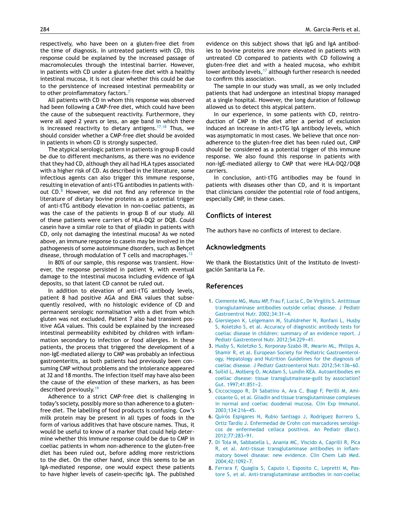<span id="page-5-0"></span>respectively, who have been on a gluten-free diet from the time of diagnosis. In untreated patients with CD, this response could be explained by the increased passage of macromolecules through the intestinal barrier. However, in patients with CD under a gluten-free diet with a healthy intestinal mucosa, it is not clear whether this could be due to the persistence of increased intestinal permeability or to other proinflammatory factors.<sup>7</sup>

All patients with CD in whom this response was observed had been following a CMP-free diet, which could have been the cause of the subsequent reactivity. Furthermore, they were all aged 2 years or less, an age band in which there is increased reactivity to dietary antigens.<sup>[17,18](#page-6-0)</sup> Thus, we should consider whether a CMP-free diet should be avoided in patients in whom CD is strongly suspected.

The atypical serologic pattern in patients in group B could be due to different mechanisms, as there was no evidence that they had CD, although they all had HLA types associated with a higher risk of CD. As described in the literature, some infectious agents can also trigger this immune response, resulting in elevation of anti-tTG antibodies in patients without CD.<sup>8</sup> However, we did not find any reference in the literature of dietary bovine proteins as a potential trigger of anti-tTG antibody elevation in non-coeliac patients, as was the case of the patients in group B of our study. All of these patients were carriers of HLA-DQ2 or DQ8. Could casein have a similar role to that of gliadin in patients with CD, only not damaging the intestinal mucosa? As we noted above, an immune response to casein may be involved in the pathogenesis of some autoimmune disorders, such as Behçet disease, through modulation of  $T$  cells and macrophages.<sup>[13](#page-6-0)</sup>

In 80% of our sample, this response was transient. However, the response persisted in patient 9, with eventual damage to the intestinal mucosa including evidence of IgA deposits, so that latent CD cannot be ruled out.

In addition to elevation of anti-tTG antibody levels, patient 8 had positive AGA and EMA values that subsequently resolved, with no histologic evidence of CD and permanent serologic normalisation with a diet from which gluten was not excluded. Patient 7 also had transient positive AGA values. This could be explained by the increased intestinal permeability exhibited by children with inflammation secondary to infection or food allergies. In these patients, the process that triggered the development of a non-IgE-mediated allergy to CMP was probably an infectious gastroenteritis, as both patients had previously been consuming CMP without problems and the intolerance appeared at 32 and 18 months. The infection itself may have also been the cause of the elevation of these markers, as has been described previously.<sup>[19](#page-6-0)</sup>

Adherence to a strict CMP-free diet is challenging in today's society, possibly more so than adherence to a glutenfree diet. The labelling of food products is confusing. Cow's milk protein may be present in all types of foods in the form of various additives that have obscure names. Thus, it would be useful to know of a marker that could help determine whether this immune response could be due to CMP in coeliac patients in whom non-adherence to the gluten-free diet has been ruled out, before adding more restrictions to the diet. On the other hand, since this seems to be an IgA-mediated response, one would expect these patients to have higher levels of casein-specific IgA. The published evidence on this subject shows that IgG and IgA antibodies to bovine proteins are more elevated in patients with untreated CD compared to patients with CD following a gluten-free diet and with a healed mucosa, who exhibit lower antibody levels, $17$  although further research is needed to confirm this association.

The sample in our study was small, as we only included patients that had undergone an intestinal biopsy managed at a single hospital. However, the long duration of followup allowed us to detect this atypical pattern.

In our experience, in some patients with CD, reintroduction of CMP in the diet after a period of exclusion induced an increase in anti-tTG IgA antibody levels, which was asymptomatic in most cases. We believe that once nonadherence to the gluten-free diet has been ruled out, CMP should be considered as a potential trigger of this immune response. We also found this response in patients with non-IgE-mediated allergy to CMP that were HLA-DQ2/DQ8 carriers.

In conclusion, anti-tTG antibodies may be found in patients with diseases other than CD, and it is important that clinicians consider the potential role of food antigens, especially CMP, in these cases.

## **Conflicts of interest**

The authors have no conflicts of interest to declare.

## **Acknowledgments**

We thank the Biostatistics Unit of the Instituto de Investigación Sanitaria La Fe.

#### **References**

- 1. Clemente MG, Musu MP, Frau F, Lucia C, De Virgiliis S. Antitissue transglutaminase antibodies outside celiac disease. J Pediatr Gastroentrol Nutr. 2002;34:31-4.
- 2. Giersiepen K, Lelgemann M, Stuhldreher N, Ronfani L, Husby S, Koletzko S, et al. Accuracy of diagnostic antibody tests for coeliac disease in children: summary of an evidence report. J Pediatr Gastrenterol Nutr. 2012;54:229-41.
- 3. Husby S, Koletzko S, Korponay-Szabó IR, Mearin ML, Philips A, Shamir R, et al. European Society for Pediatric Gastroenterology, Hepatology and Nutrition Guidelines for the diagnosis of coeliac disease. J Pediatr Gastroenterol Nutr. 2012;54:136-60.
- 4. Sollid L, Molberg O, McAdam S, Lundin KEA. Autoantibodies en coeliac disease: tissue transglutmainase-guilt by association? Gut. 1997:41:851-2.
- 5. Ciccocioppo R, Di Sabatino A, Ara C, Biagi F, Perilli M, Amicosante G, et al. Gliadin and tissue transglutaminase complexes in normal and coeliac duodenal mucosa. Clin Exp Immunol. 2003;134:216-45.
- 6. Quirós Espigares N, Rubio Santiago J, Rodríguez Borrero S, Ortiz Tardío J. Enfermedad de Crohn con marcadores serológicos de enfermedad celíaca positivos. An Pediatr (Barc). 2012;77:283-91.
- 7. Di Tola M, Sabbatella L, Anania MC, Viscido A, Caprilli R, Pica R, et al. Anti-tissue transglutaminase antibodies in inflammatory bowel disease: new evidence. Clin Chem Lab Med. 2004:42:1092-7.
- 8. Ferrara F, Quaglia S, Caputo I, Esposito C, Lepretti M, Pastore S, et al. Anti-transglutaminase antibodies in non-coeliac